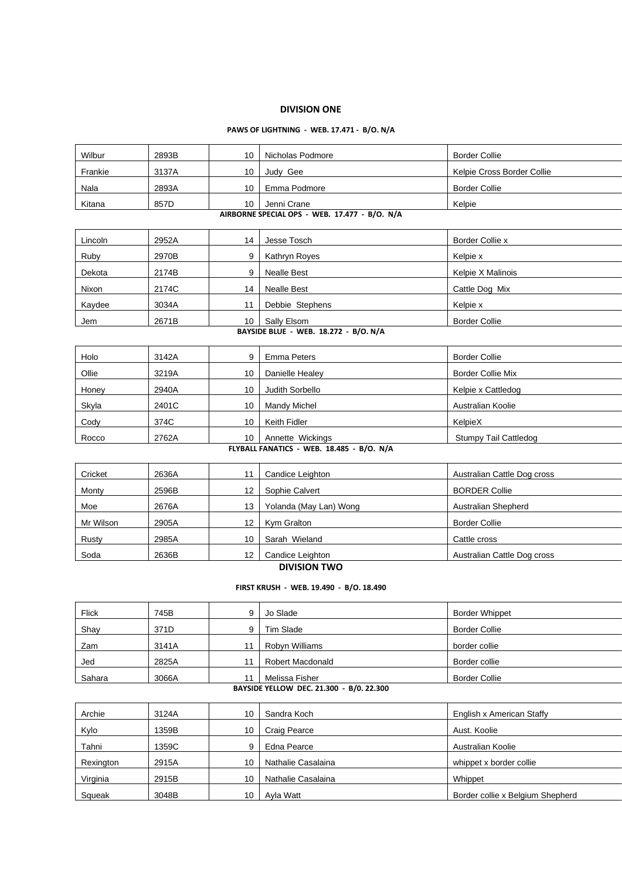## **DIVISION ONE**

### **PAWS OF LIGHTNING - WEB. 17.471 - B/O. N/A**

| Wilbur                                  | 2893B                                         | 10               | Nicholas Podmore                          | <b>Border Collie</b>         |  |  |  |  |
|-----------------------------------------|-----------------------------------------------|------------------|-------------------------------------------|------------------------------|--|--|--|--|
| Frankie                                 | 3137A                                         | 10               | Judy Gee                                  | Kelpie Cross Border Collie   |  |  |  |  |
| Nala                                    | 2893A                                         | 10               | Emma Podmore                              | <b>Border Collie</b>         |  |  |  |  |
| Kitana                                  | 857D                                          | 10               | Jenni Crane                               | Kelpie                       |  |  |  |  |
|                                         | AIRBORNE SPECIAL OPS - WEB. 17.477 - B/O. N/A |                  |                                           |                              |  |  |  |  |
| Lincoln                                 | 2952A                                         | 14               | Jesse Tosch                               | Border Collie x              |  |  |  |  |
| Ruby                                    | 2970B                                         | 9                | Kathryn Royes                             | Kelpie x                     |  |  |  |  |
| Dekota                                  | 2174B                                         | 9                | <b>Nealle Best</b>                        | Kelpie X Malinois            |  |  |  |  |
| Nixon                                   | 2174C                                         | 14               | <b>Nealle Best</b>                        | Cattle Dog Mix               |  |  |  |  |
| Kaydee                                  | 3034A                                         | 11               | Debbie Stephens                           | Kelpie x                     |  |  |  |  |
| Jem                                     | 2671B                                         | 10               | Sally Elsom                               | <b>Border Collie</b>         |  |  |  |  |
|                                         |                                               |                  | BAYSIDE BLUE - WEB. 18.272 - B/O. N/A     |                              |  |  |  |  |
| Holo                                    | 3142A                                         | 9                | <b>Emma Peters</b>                        | <b>Border Collie</b>         |  |  |  |  |
| Ollie                                   | 3219A                                         | 10               | Danielle Healey                           | <b>Border Collie Mix</b>     |  |  |  |  |
| Honey                                   | 2940A                                         | 10               | Judith Sorbello                           | Kelpie x Cattledog           |  |  |  |  |
| Skyla                                   | 2401C                                         | 10               | Mandy Michel                              | Australian Koolie            |  |  |  |  |
| Cody                                    | 374C                                          | 10               | Keith Fidler                              | KelpieX                      |  |  |  |  |
| Rocco                                   | 2762A                                         | 10               | Annette Wickings                          | <b>Stumpy Tail Cattledog</b> |  |  |  |  |
|                                         |                                               |                  | FLYBALL FANATICS - WEB. 18.485 - B/O. N/A |                              |  |  |  |  |
| Cricket                                 | 2636A                                         | 11               | Candice Leighton                          | Australian Cattle Dog cross  |  |  |  |  |
| Monty                                   | 2596B                                         | 12               | Sophie Calvert                            | <b>BORDER Collie</b>         |  |  |  |  |
| Moe                                     | 2676A                                         | 13               | Yolanda (May Lan) Wong                    | Australian Shepherd          |  |  |  |  |
| Mr Wilson                               | 2905A                                         | 12               | Kym Gralton                               | <b>Border Collie</b>         |  |  |  |  |
| Rusty                                   | 2985A                                         | 10               | Sarah Wieland                             | Cattle cross                 |  |  |  |  |
| Soda                                    | 2636B                                         | 12               | Candice Leighton                          | Australian Cattle Dog cross  |  |  |  |  |
|                                         | <b>DIVISION TWO</b>                           |                  |                                           |                              |  |  |  |  |
| FIRST KRUSH - WEB. 19.490 - B/O. 18.490 |                                               |                  |                                           |                              |  |  |  |  |
| <b>Flick</b>                            | 745B                                          | $\boldsymbol{9}$ | Jo Slade                                  | <b>Border Whippet</b>        |  |  |  |  |
| Shay                                    | 371D                                          | 9                | Tim Slade                                 | <b>Border Collie</b>         |  |  |  |  |
| Zam                                     | 3141A                                         | 11               | Robyn Williams                            | border collie                |  |  |  |  |
| Jed                                     | 2825A                                         | 11               | Robert Macdonald                          | Border collie                |  |  |  |  |
| Sahara                                  | 3066A                                         | 11               | Melissa Fisher                            | <b>Border Collie</b>         |  |  |  |  |
|                                         |                                               |                  | BAYSIDE YELLOW DEC. 21.300 - B/0. 22.300  |                              |  |  |  |  |
| Archie                                  | 3124A                                         | 10               | Sandra Koch                               | English x American Staffy    |  |  |  |  |
|                                         |                                               |                  |                                           |                              |  |  |  |  |

| Archie    | 3124A | 10 | Sandra Koch        | English x American Staffy        |
|-----------|-------|----|--------------------|----------------------------------|
| Kylo      | 1359B | 10 | Craig Pearce       | Aust. Koolie                     |
| Tahni     | 1359C | 9  | Edna Pearce        | Australian Koolie                |
| Rexington | 2915A | 10 | Nathalie Casalaina | whippet x border collie          |
| Virginia  | 2915B | 10 | Nathalie Casalaina | Whippet                          |
| Squeak    | 3048B | 10 | Avla Watt          | Border collie x Belgium Shepherd |